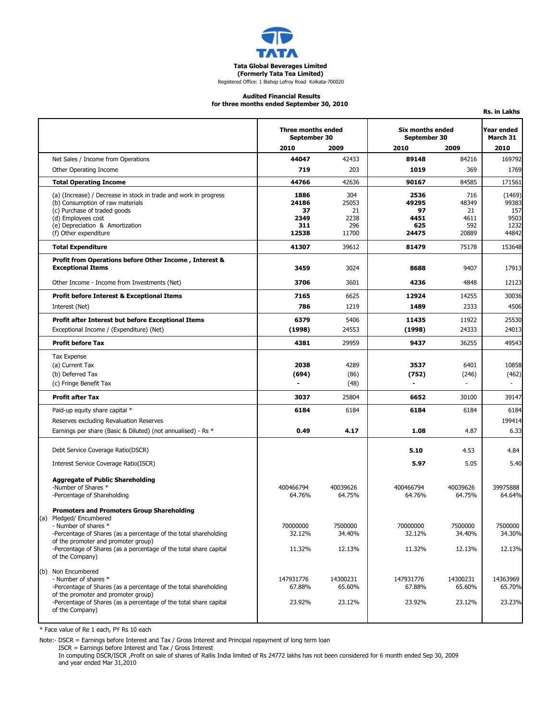

### **Audited Financial Results**

**Rs. in Lakhs**

**for three months ended September 30, 2010**

|                                                                                                         | Three months ended<br>September 30 |                   | <b>Six months ended</b><br>September 30 |            | Year ended<br>March 31 |
|---------------------------------------------------------------------------------------------------------|------------------------------------|-------------------|-----------------------------------------|------------|------------------------|
|                                                                                                         | 2010                               | 2009              | 2010                                    | 2009       | 2010                   |
| Net Sales / Income from Operations                                                                      | 44047                              | 42433             | 89148                                   | 84216      | 169792                 |
| Other Operating Income                                                                                  | 719                                | 203               | 1019                                    | 369        | 1769                   |
| <b>Total Operating Income</b>                                                                           | 44766                              | 42636             | 90167                                   | 84585      | 171561                 |
| (a) (Increase) / Decrease in stock in trade and work in progress                                        | 1886                               | 304               | 2536                                    | 716        | (1469)                 |
| (b) Consumption of raw materials                                                                        | 24186                              | 25053             | 49295                                   | 48349      | 99383                  |
| (c) Purchase of traded goods<br>(d) Employees cost                                                      | 37<br>2349                         | 21<br>2238        | 97<br>4451                              | 21<br>4611 | 157<br>9503            |
| (e) Depreciation & Amortization                                                                         | 311                                | 296               | 625                                     | 592        | 1232                   |
| (f) Other expenditure                                                                                   | 12538                              | 11700             | 24475                                   | 20889      | 44842                  |
| <b>Total Expenditure</b>                                                                                | 41307                              | 39612             | 81479                                   | 75178      | 153648                 |
| Profit from Operations before Other Income, Interest &                                                  |                                    |                   |                                         |            |                        |
| <b>Exceptional Items</b>                                                                                | 3459                               | 3024              | 8688                                    | 9407       | 17913                  |
| Other Income - Income from Investments (Net)                                                            | 3706                               | 3601              | 4236                                    | 4848       | 12123                  |
| <b>Profit before Interest &amp; Exceptional Items</b>                                                   | 7165                               | 6625              | 12924                                   | 14255      | 30036                  |
| Interest (Net)                                                                                          | 786                                | 1219              | 1489                                    | 2333       | 4506                   |
| Profit after Interest but before Exceptional Items                                                      | 6379                               | 5406              | 11435                                   | 11922      | 25530                  |
| Exceptional Income / (Expenditure) (Net)                                                                | (1998)                             | 24553             | (1998)                                  | 24333      | 24013                  |
| <b>Profit before Tax</b>                                                                                | 4381                               | 29959             | 9437                                    | 36255      | 49543                  |
| <b>Tax Expense</b>                                                                                      |                                    |                   |                                         |            |                        |
| (a) Current Tax                                                                                         | 2038                               | 4289              | 3537                                    | 6401       | 10858                  |
| (b) Deferred Tax                                                                                        | (694)                              | (86)              | (752)                                   | (246)      | (462)                  |
| (c) Fringe Benefit Tax                                                                                  |                                    | (48)              |                                         |            |                        |
| <b>Profit after Tax</b>                                                                                 | 3037                               | 25804             | 6652                                    | 30100      | 39147                  |
| Paid-up equity share capital *                                                                          | 6184                               | 6184              | 6184                                    | 6184       | 6184                   |
| Reserves excluding Revaluation Reserves                                                                 |                                    |                   |                                         |            | 199414                 |
| Earnings per share (Basic & Diluted) (not annualised) - Rs *                                            | 0.49                               | 4.17              | 1.08                                    | 4.87       | 6.33                   |
| Debt Service Coverage Ratio(DSCR)                                                                       |                                    |                   | 5.10                                    | 4.53       | 4.84                   |
| Interest Service Coverage Ratio(ISCR)                                                                   |                                    |                   | 5.97                                    | 5.05       | 5.40                   |
|                                                                                                         |                                    |                   |                                         |            |                        |
| <b>Aggregate of Public Shareholding</b><br>-Number of Shares *                                          | 400466794                          | 40039626          | 400466794                               | 40039626   | 39975888               |
| -Percentage of Shareholding                                                                             | 64.76%                             | 64.75%            | 64.76%                                  | 64.75%     | 64.64%                 |
| <b>Promoters and Promoters Group Shareholding</b>                                                       |                                    |                   |                                         |            |                        |
| (a) Pledged/ Encumbered                                                                                 |                                    |                   |                                         | 7500000    |                        |
| - Number of shares<br>-Percentage of Shares (as a percentage of the total shareholding                  | 70000000<br>32.12%                 | 7500000<br>34.40% | 70000000<br>32.12%                      | 34.40%     | 7500000<br>34.30%      |
| of the promoter and promoter group)                                                                     |                                    |                   |                                         |            |                        |
| -Percentage of Shares (as a percentage of the total share capital<br>of the Company)                    | 11.32%                             | 12.13%            | 11.32%                                  | 12.13%     | 12.13%                 |
| (b) Non Encumbered                                                                                      |                                    |                   |                                         |            |                        |
| - Number of shares *                                                                                    | 147931776                          | 14300231          | 147931776                               | 14300231   | 14363969               |
| -Percentage of Shares (as a percentage of the total shareholding<br>of the promoter and promoter group) | 67.88%                             | 65.60%            | 67.88%                                  | 65.60%     | 65.70%                 |
| -Percentage of Shares (as a percentage of the total share capital<br>of the Company)                    | 23.92%                             | 23.12%            | 23.92%                                  | 23.12%     | 23.23%                 |
|                                                                                                         |                                    |                   |                                         |            |                        |

\* Face value of Re 1 each, PY Rs 10 each

Note:- DSCR = Earnings before Interest and Tax / Gross Interest and Principal repayment of long term loan

ISCR = Earnings before Interest and Tax / Gross Interest

In computing DSCR/ISCR ,Profit on sale of shares of Rallis India limited of Rs 24772 lakhs has not been considered for 6 month ended Sep 30, 2009<br>and year ended Mar 31,2010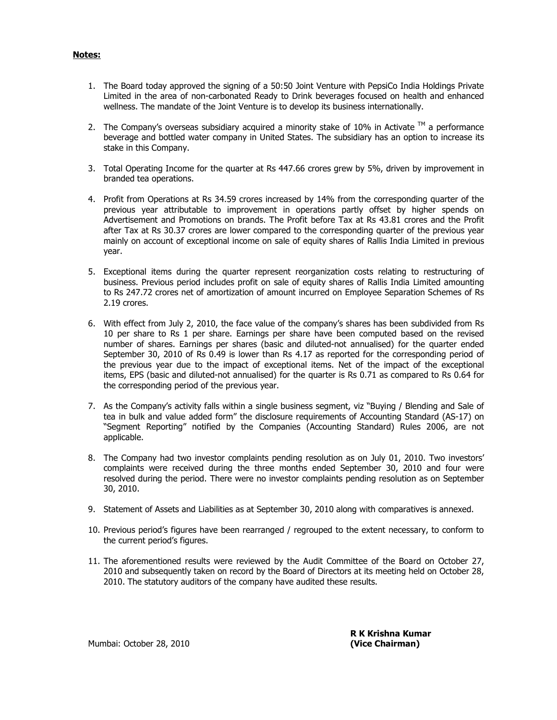## **Notes:**

- 1. The Board today approved the signing of a 50:50 Joint Venture with PepsiCo India Holdings Private Limited in the area of non-carbonated Ready to Drink beverages focused on health and enhanced wellness. The mandate of the Joint Venture is to develop its business internationally.
- 2. The Company's overseas subsidiary acquired a minority stake of 10% in Activate  $\textsuperscript{TM}$  a performance beverage and bottled water company in United States. The subsidiary has an option to increase its stake in this Company.
- 3. Total Operating Income for the quarter at Rs 447.66 crores grew by 5%, driven by improvement in branded tea operations.
- 4. Profit from Operations at Rs 34.59 crores increased by 14% from the corresponding quarter of the previous year attributable to improvement in operations partly offset by higher spends on Advertisement and Promotions on brands. The Profit before Tax at Rs 43.81 crores and the Profit after Tax at Rs 30.37 crores are lower compared to the corresponding quarter of the previous year mainly on account of exceptional income on sale of equity shares of Rallis India Limited in previous year.
- 5. Exceptional items during the quarter represent reorganization costs relating to restructuring of business. Previous period includes profit on sale of equity shares of Rallis India Limited amounting to Rs 247.72 crores net of amortization of amount incurred on Employee Separation Schemes of Rs 2.19 crores.
- 6. With effect from July 2, 2010, the face value of the company's shares has been subdivided from Rs 10 per share to Rs 1 per share. Earnings per share have been computed based on the revised number of shares. Earnings per shares (basic and diluted-not annualised) for the quarter ended September 30, 2010 of Rs 0.49 is lower than Rs 4.17 as reported for the corresponding period of the previous year due to the impact of exceptional items. Net of the impact of the exceptional items, EPS (basic and diluted-not annualised) for the quarter is Rs 0.71 as compared to Rs 0.64 for the corresponding period of the previous year.
- 7. As the Company's activity falls within a single business segment, viz "Buying / Blending and Sale of tea in bulk and value added form" the disclosure requirements of Accounting Standard (AS-17) on "Segment Reporting" notified by the Companies (Accounting Standard) Rules 2006, are not applicable.
- 8. The Company had two investor complaints pending resolution as on July 01, 2010. Two investors' complaints were received during the three months ended September 30, 2010 and four were resolved during the period. There were no investor complaints pending resolution as on September 30, 2010.
- 9. Statement of Assets and Liabilities as at September 30, 2010 along with comparatives is annexed.
- 10. Previous period's figures have been rearranged / regrouped to the extent necessary, to conform to the current period's figures.
- 11. The aforementioned results were reviewed by the Audit Committee of the Board on October 27, 2010 and subsequently taken on record by the Board of Directors at its meeting held on October 28, 2010. The statutory auditors of the company have audited these results.

 **R K Krishna Kumar** 

Mumbai: October 28, 2010 **(Vice Chairman)**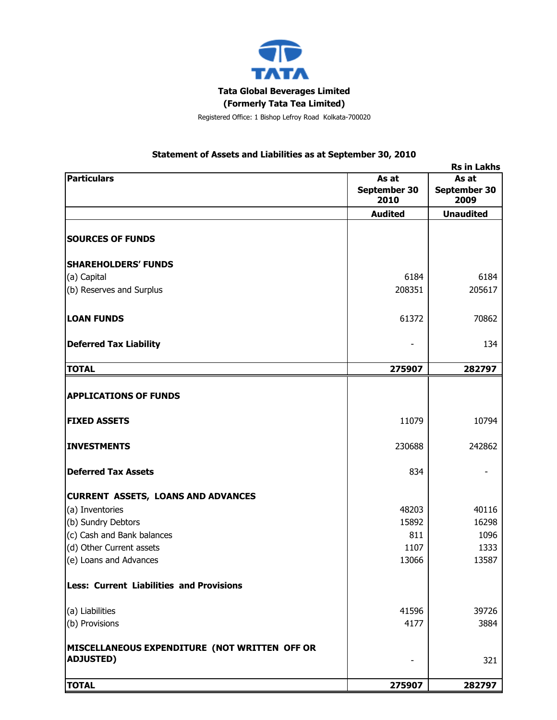

# **Statement of Assets and Liabilities as at September 30, 2010**

| <b>Rs in Lakhs</b>                              |                      |                      |  |  |
|-------------------------------------------------|----------------------|----------------------|--|--|
| <b>Particulars</b><br>As at                     |                      | As at                |  |  |
|                                                 | September 30<br>2010 | September 30<br>2009 |  |  |
|                                                 | <b>Audited</b>       | <b>Unaudited</b>     |  |  |
| <b>SOURCES OF FUNDS</b>                         |                      |                      |  |  |
| <b>SHAREHOLDERS' FUNDS</b>                      |                      |                      |  |  |
| (a) Capital                                     | 6184                 | 6184                 |  |  |
| (b) Reserves and Surplus                        | 208351               | 205617               |  |  |
| <b>LOAN FUNDS</b>                               | 61372                | 70862                |  |  |
| <b>Deferred Tax Liability</b>                   |                      | 134                  |  |  |
| <b>TOTAL</b>                                    | 275907               | 282797               |  |  |
|                                                 |                      |                      |  |  |
| <b>APPLICATIONS OF FUNDS</b>                    |                      |                      |  |  |
| <b>FIXED ASSETS</b>                             | 11079                | 10794                |  |  |
| <b>INVESTMENTS</b>                              | 230688               | 242862               |  |  |
| <b>Deferred Tax Assets</b>                      | 834                  |                      |  |  |
| <b>CURRENT ASSETS, LOANS AND ADVANCES</b>       |                      |                      |  |  |
| (a) Inventories                                 | 48203                | 40116                |  |  |
| (b) Sundry Debtors                              | 15892                | 16298                |  |  |
| (c) Cash and Bank balances                      | 811                  | 1096                 |  |  |
| (d) Other Current assets                        | 1107                 | 1333                 |  |  |
| (e) Loans and Advances                          | 13066                | 13587                |  |  |
| <b>Less: Current Liabilities and Provisions</b> |                      |                      |  |  |
| (a) Liabilities                                 | 41596                | 39726                |  |  |
| (b) Provisions                                  | 4177                 | 3884                 |  |  |
| MISCELLANEOUS EXPENDITURE (NOT WRITTEN OFF OR   |                      |                      |  |  |
| <b>ADJUSTED)</b>                                |                      | 321                  |  |  |
| <b>TOTAL</b>                                    | 275907               | 282797               |  |  |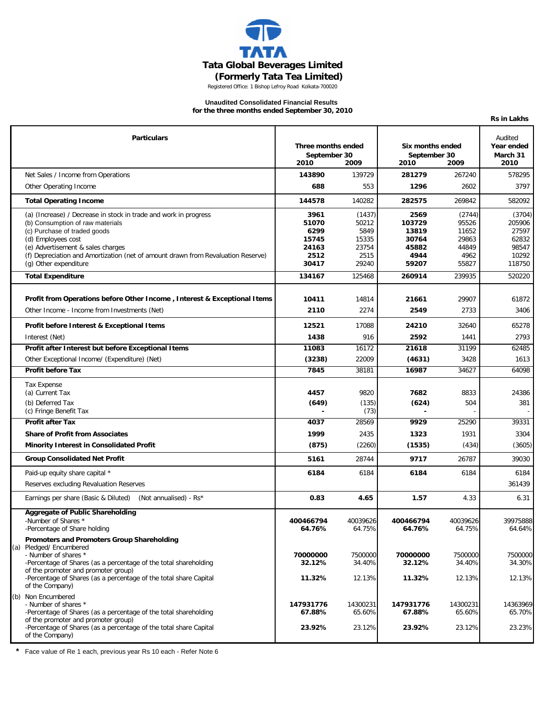

### **Unaudited Consolidated Financial Results for the three months ended September 30, 2010**

|                                                                                                                                                                                                                                                                                                              |                                                          |                                                            |                                                            |                                                             | <b>Rs in Lakhs</b>                                             |
|--------------------------------------------------------------------------------------------------------------------------------------------------------------------------------------------------------------------------------------------------------------------------------------------------------------|----------------------------------------------------------|------------------------------------------------------------|------------------------------------------------------------|-------------------------------------------------------------|----------------------------------------------------------------|
| <b>Particulars</b>                                                                                                                                                                                                                                                                                           |                                                          | Three months ended<br>September 30<br>2010<br>2009         |                                                            | Six months ended<br>September 30<br>2010<br>2009            |                                                                |
| Net Sales / Income from Operations                                                                                                                                                                                                                                                                           | 143890                                                   | 139729                                                     | 281279                                                     | 267240                                                      | 578295                                                         |
| Other Operating Income                                                                                                                                                                                                                                                                                       | 688                                                      | 553                                                        | 1296                                                       | 2602                                                        | 3797                                                           |
| <b>Total Operating Income</b>                                                                                                                                                                                                                                                                                | 144578                                                   | 140282                                                     | 282575                                                     | 269842                                                      | 582092                                                         |
| (a) (Increase) / Decrease in stock in trade and work in progress<br>(b) Consumption of raw materials<br>(c) Purchase of traded goods<br>(d) Employees cost<br>(e) Advertisement & sales charges<br>(f) Depreciation and Amortization (net of amount drawn from Revaluation Reserve)<br>(g) Other expenditure | 3961<br>51070<br>6299<br>15745<br>24163<br>2512<br>30417 | (1437)<br>50212<br>5849<br>15335<br>23754<br>2515<br>29240 | 2569<br>103729<br>13819<br>30764<br>45882<br>4944<br>59207 | (2744)<br>95526<br>11652<br>29863<br>44849<br>4962<br>55827 | (3704)<br>205906<br>27597<br>62832<br>98547<br>10292<br>118750 |
| <b>Total Expenditure</b>                                                                                                                                                                                                                                                                                     | 134167                                                   | 125468                                                     | 260914                                                     | 239935                                                      | 520220                                                         |
| Profit from Operations before Other Income, Interest & Exceptional Items<br>Other Income - Income from Investments (Net)                                                                                                                                                                                     | 10411<br>2110                                            | 14814<br>2274                                              | 21661<br>2549                                              | 29907<br>2733                                               | 61872<br>3406                                                  |
| Profit before Interest & Exceptional Items                                                                                                                                                                                                                                                                   | 12521                                                    | 17088                                                      | 24210                                                      | 32640                                                       | 65278                                                          |
| Interest (Net)                                                                                                                                                                                                                                                                                               | 1438                                                     | 916                                                        | 2592                                                       | 1441                                                        | 2793                                                           |
| Profit after Interest but before Exceptional Items                                                                                                                                                                                                                                                           | 11083                                                    | 16172                                                      | 21618                                                      | 31199                                                       | 62485                                                          |
| Other Exceptional Income/ (Expenditure) (Net)                                                                                                                                                                                                                                                                | (3238)                                                   | 22009                                                      | (4631)                                                     | 3428                                                        | 1613                                                           |
| <b>Profit before Tax</b>                                                                                                                                                                                                                                                                                     | 7845                                                     | 38181                                                      | 16987                                                      | 34627                                                       | 64098                                                          |
| <b>Tax Expense</b><br>(a) Current Tax<br>(b) Deferred Tax<br>(c) Fringe Benefit Tax<br><b>Profit after Tax</b><br><b>Share of Profit from Associates</b>                                                                                                                                                     | 4457<br>(649)<br>4037<br>1999                            | 9820<br>(135)<br>(73)<br>28569<br>2435                     | 7682<br>(624)<br>9929<br>1323                              | 8833<br>504<br>25290<br>1931                                | 24386<br>381<br>39331<br>3304                                  |
| <b>Minority Interest in Consolidated Profit</b>                                                                                                                                                                                                                                                              | (875)                                                    | (2260)                                                     | (1535)                                                     | (434)                                                       | (3605)                                                         |
| <b>Group Consolidated Net Profit</b>                                                                                                                                                                                                                                                                         | 5161                                                     | 28744                                                      | 9717                                                       | 26787                                                       | 39030                                                          |
| Paid-up equity share capital *<br>Reserves excluding Revaluation Reserves                                                                                                                                                                                                                                    | 6184                                                     | 6184                                                       | 6184                                                       | 6184                                                        | 6184<br>361439                                                 |
| Earnings per share (Basic & Diluted)<br>(Not annualised) - Rs*                                                                                                                                                                                                                                               | 0.83                                                     | 4.65                                                       | 1.57                                                       | 4.33                                                        | 6.31                                                           |
| Aggregate of Public Shareholding<br>-Number of Shares *<br>-Percentage of Share holding                                                                                                                                                                                                                      | 400466794<br>64.76%                                      | 40039626<br>64.75%                                         | 400466794<br>64.76%                                        | 40039626<br>64.75%                                          | 39975888<br>64.64%                                             |
| Promoters and Promoters Group Shareholding<br>(a) Pledged/Encumbered<br>- Number of shares *<br>-Percentage of Shares (as a percentage of the total shareholding<br>of the promoter and promoter group)<br>-Percentage of Shares (as a percentage of the total share Capital<br>of the Company)              | 70000000<br>32.12%<br>11.32%                             | 7500000<br>34.40%<br>12.13%                                | 70000000<br>32.12%<br>11.32%                               | 7500000<br>34.40%<br>12.13%                                 | 7500000<br>34.30%<br>12.13%                                    |
| (b) Non Encumbered<br>- Number of shares *<br>-Percentage of Shares (as a percentage of the total shareholding<br>of the promoter and promoter group)                                                                                                                                                        | 147931776<br>67.88%                                      | 14300231<br>65.60%                                         | 147931776<br>67.88%                                        | 14300231<br>65.60%                                          | 14363969<br>65.70%                                             |
| -Percentage of Shares (as a percentage of the total share Capital<br>of the Company)                                                                                                                                                                                                                         | 23.92%                                                   | 23.12%                                                     | 23.92%                                                     | 23.12%                                                      | 23.23%                                                         |

**\*** Face value of Re 1 each, previous year Rs 10 each - Refer Note 6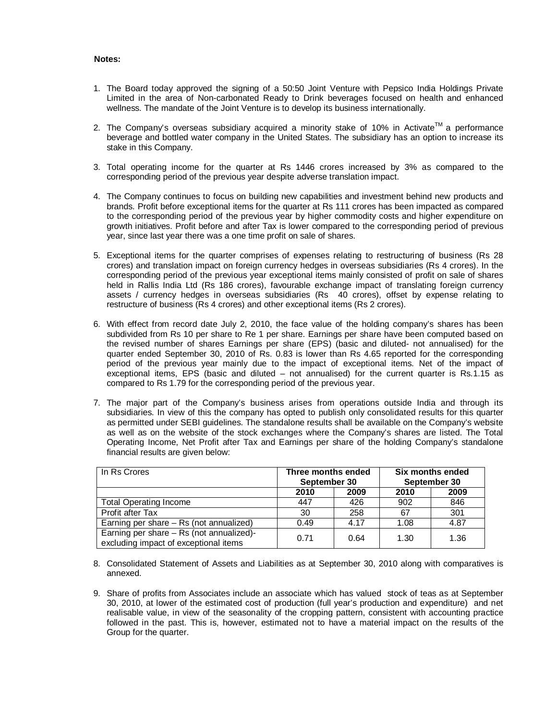## **Notes:**

- 1. The Board today approved the signing of a 50:50 Joint Venture with Pepsico India Holdings Private Limited in the area of Non-carbonated Ready to Drink beverages focused on health and enhanced wellness. The mandate of the Joint Venture is to develop its business internationally.
- 2. The Company's overseas subsidiary acquired a minority stake of 10% in Activate<sup>TM</sup> a performance beverage and bottled water company in the United States. The subsidiary has an option to increase its stake in this Company.
- 3. Total operating income for the quarter at Rs 1446 crores increased by 3% as compared to the corresponding period of the previous year despite adverse translation impact.
- 4. The Company continues to focus on building new capabilities and investment behind new products and brands. Profit before exceptional items for the quarter at Rs 111 crores has been impacted as compared to the corresponding period of the previous year by higher commodity costs and higher expenditure on growth initiatives. Profit before and after Tax is lower compared to the corresponding period of previous year, since last year there was a one time profit on sale of shares.
- 5. Exceptional items for the quarter comprises of expenses relating to restructuring of business (Rs 28 crores) and translation impact on foreign currency hedges in overseas subsidiaries (Rs 4 crores). In the corresponding period of the previous year exceptional items mainly consisted of profit on sale of shares held in Rallis India Ltd (Rs 186 crores), favourable exchange impact of translating foreign currency assets / currency hedges in overseas subsidiaries (Rs 40 crores), offset by expense relating to restructure of business (Rs 4 crores) and other exceptional items (Rs 2 crores).
- 6. With effect from record date July 2, 2010, the face value of the holding company's shares has been subdivided from Rs 10 per share to Re 1 per share. Earnings per share have been computed based on the revised number of shares Earnings per share (EPS) (basic and diluted- not annualised) for the quarter ended September 30, 2010 of Rs. 0.83 is lower than Rs 4.65 reported for the corresponding period of the previous year mainly due to the impact of exceptional items. Net of the impact of exceptional items, EPS (basic and diluted – not annualised) for the current quarter is Rs.1.15 as compared to Rs 1.79 for the corresponding period of the previous year.
- 7. The major part of the Company's business arises from operations outside India and through its subsidiaries. In view of this the company has opted to publish only consolidated results for this quarter as permitted under SEBI guidelines. The standalone results shall be available on the Company's website as well as on the website of the stock exchanges where the Company's shares are listed. The Total Operating Income, Net Profit after Tax and Earnings per share of the holding Company's standalone financial results are given below:

| In Rs Crores                                                                      | Three months ended<br>September 30 |      | Six months ended<br>September 30 |      |  |
|-----------------------------------------------------------------------------------|------------------------------------|------|----------------------------------|------|--|
|                                                                                   | 2010                               | 2009 | 2010                             | 2009 |  |
| <b>Total Operating Income</b>                                                     | 447                                | 426  | 902                              | 846  |  |
| Profit after Tax                                                                  | 30                                 | 258  | 67                               | 301  |  |
| Earning per share - Rs (not annualized)                                           | 0.49                               | 4.17 | 1.08                             | 4.87 |  |
| Earning per share - Rs (not annualized)-<br>excluding impact of exceptional items | 0.71                               | 0.64 | 1.30                             | 1.36 |  |

- 8. Consolidated Statement of Assets and Liabilities as at September 30, 2010 along with comparatives is annexed.
- 9. Share of profits from Associates include an associate which has valued stock of teas as at September 30, 2010, at lower of the estimated cost of production (full year's production and expenditure) and net realisable value, in view of the seasonality of the cropping pattern, consistent with accounting practice followed in the past. This is, however, estimated not to have a material impact on the results of the Group for the quarter.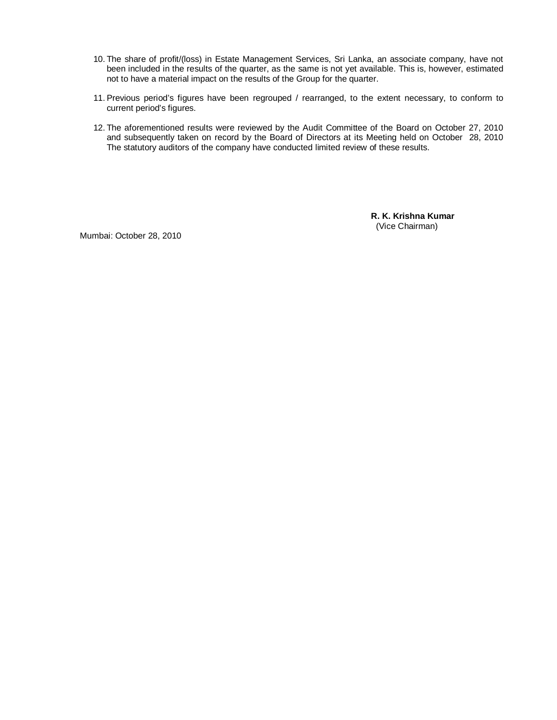- 10. The share of profit/(loss) in Estate Management Services, Sri Lanka, an associate company, have not been included in the results of the quarter, as the same is not yet available. This is, however, estimated not to have a material impact on the results of the Group for the quarter.
- 11. Previous period's figures have been regrouped / rearranged, to the extent necessary, to conform to current period's figures.
- 12. The aforementioned results were reviewed by the Audit Committee of the Board on October 27, 2010 and subsequently taken on record by the Board of Directors at its Meeting held on October 28, 2010 The statutory auditors of the company have conducted limited review of these results.

**R. K. Krishna Kumar** (Vice Chairman)

Mumbai: October 28, 2010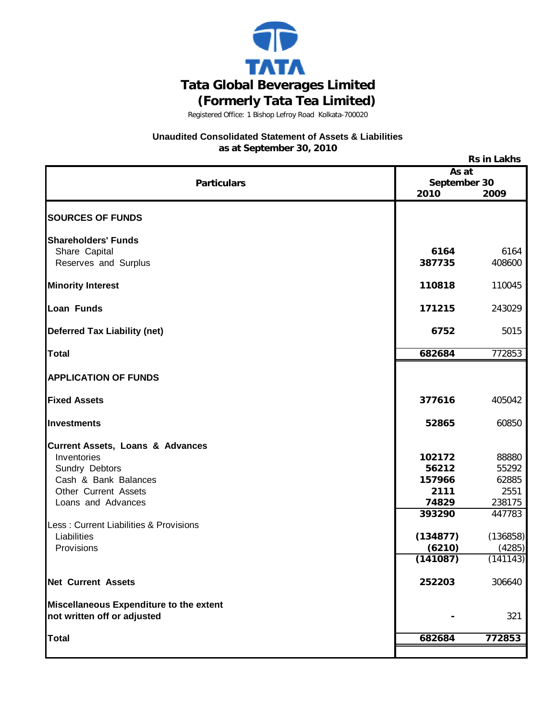

## **Unaudited Consolidated Statement of Assets & Liabilities as at September 30, 2010**

**Rs in Lakhs**

| RS III LANIIS                               |          |              |  |  |
|---------------------------------------------|----------|--------------|--|--|
|                                             |          | As at        |  |  |
| <b>Particulars</b>                          |          | September 30 |  |  |
|                                             | 2010     | 2009         |  |  |
| <b>SOURCES OF FUNDS</b>                     |          |              |  |  |
|                                             |          |              |  |  |
| <b>Shareholders' Funds</b>                  |          |              |  |  |
| Share Capital                               | 6164     | 6164         |  |  |
| Reserves and Surplus                        | 387735   | 408600       |  |  |
| <b>Minority Interest</b>                    | 110818   | 110045       |  |  |
|                                             |          |              |  |  |
| Loan Funds                                  | 171215   | 243029       |  |  |
| <b>Deferred Tax Liability (net)</b>         | 6752     | 5015         |  |  |
|                                             |          |              |  |  |
| <b>Total</b>                                | 682684   | 772853       |  |  |
| <b>APPLICATION OF FUNDS</b>                 |          |              |  |  |
| <b>Fixed Assets</b>                         | 377616   | 405042       |  |  |
|                                             |          |              |  |  |
| Investments                                 | 52865    | 60850        |  |  |
| <b>Current Assets, Loans &amp; Advances</b> |          |              |  |  |
| Inventories                                 | 102172   | 88880        |  |  |
| Sundry Debtors                              | 56212    | 55292        |  |  |
| Cash & Bank Balances                        | 157966   | 62885        |  |  |
| Other Current Assets                        | 2111     | 2551         |  |  |
| Loans and Advances                          | 74829    | 238175       |  |  |
|                                             | 393290   | 447783       |  |  |
| Less: Current Liabilities & Provisions      |          |              |  |  |
| Liabilities                                 | (134877) | (136858)     |  |  |
| Provisions                                  | (6210)   | (4285)       |  |  |
|                                             | (141087) | (141143)     |  |  |
| <b>Net Current Assets</b>                   | 252203   | 306640       |  |  |
| Miscellaneous Expenditure to the extent     |          |              |  |  |
| not written off or adjusted                 |          | 321          |  |  |
| <b>Total</b>                                | 682684   | 772853       |  |  |
|                                             |          |              |  |  |